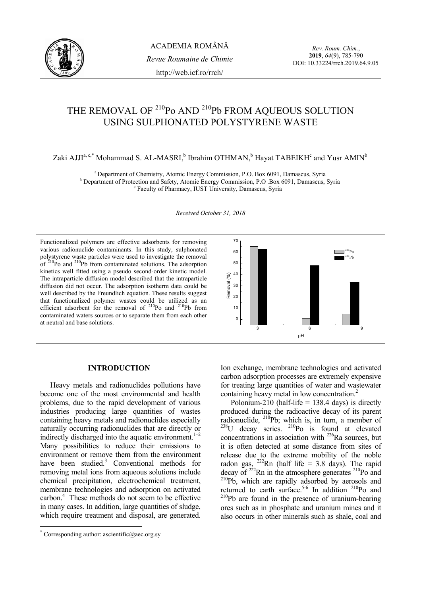

*Rev. Roum. Chim.*, **2019**, *64*(9), 785-790 DOI: 10.33224/rrch.2019.64.9.05

# THE REMOVAL OF <sup>210</sup>Po AND <sup>210</sup>Pb FROM AQUEOUS SOLUTION USING SULPHONATED POLYSTYRENE WASTE

Zaki AJJI<sup>a, c,\*</sup> Mohammad S. AL-MASRI,<sup>b</sup> Ibrahim OTHMAN,<sup>b</sup> Hayat TABEIKH<sup>c</sup> and Yusr AMIN<sup>b</sup>

<sup>a</sup> Department of Chemistry, Atomic Energy Commission, P.O. Box 6091, Damascus, Syria b Department of Protection and Safety, Atomic Energy Commission, P.O .Box 6091, Damascus, Syria Faculty of Pharmacy, IUST University, Damascus, Syria

*Received October 31, 2018* 

Functionalized polymers are effective adsorbents for removing various radionuclide contaminants. In this study, sulphonated polystyrene waste particles were used to investigate the removal of  $^{210}$ Po and  $^{210}$ Pb from contaminated solutions. The adsorption kinetics well fitted using a pseudo second-order kinetic model. The intraparticle diffusion model described that the intraparticle diffusion did not occur. The adsorption isotherm data could be well described by the Freundlich equation. These results suggest that functionalized polymer wastes could be utilized as an efficient adsorbent for the removal of  $2^{10}P_0$  and  $2^{10}P_0$  from contaminated waters sources or to separate them from each other at neutral and base solutions.



## **INTRODUCTION**

Heavy metals and radionuclides pollutions have become one of the most environmental and health problems, due to the rapid development of various industries producing large quantities of wastes containing heavy metals and radionuclides especially naturally occurring radionuclides that are directly or indirectly discharged into the aquatic environment.<sup>1</sup> Many possibilities to reduce their emissions to environment or remove them from the environment have been studied.<sup>3</sup> Conventional methods for removing metal ions from aqueous solutions include chemical precipitation, electrochemical treatment, membrane technologies and adsorption on activated carbon.4 These methods do not seem to be effective in many cases. In addition, large quantities of sludge, which require treatment and disposal, are generated.

 $\overline{a}$ 

Ion exchange, membrane technologies and activated carbon adsorption processes are extremely expensive for treating large quantities of water and wastewater containing heavy metal in low concentration.<sup>2</sup>

Polonium-210 (half-life  $= 138.4$  days) is directly produced during the radioactive decay of its parent radionuclide,  $^{210}$ Pb; which is, in turn, a member of  $^{238}$ U decay series.  $^{210}$ Po is found at elevated concentrations in association with 226Ra sources, but it is often detected at some distance from sites of release due to the extreme mobility of the noble radon gas,  $^{222}$ Rn (half life = 3.8 days). The rapid decay of  $^{222}$ Rn in the atmosphere generates  $^{210}$ Po and <sup>210</sup>Pb, which are rapidly adsorbed by aerosols and returned to earth surface.<sup>5-6</sup> In addition  $2^{10}$ Po and  $^{210}Pb$  are found in the presence of uranium-bearing ores such as in phosphate and uranium mines and it also occurs in other minerals such as shale, coal and

<sup>\*</sup> Corresponding author: ascientific@aec.org.sy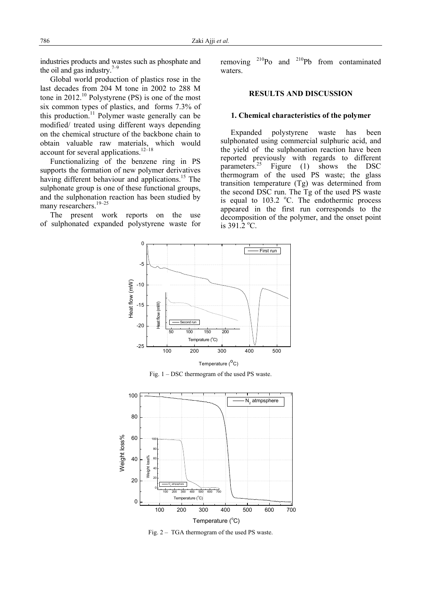industries products and wastes such as phosphate and the oil and gas industry.<sup>7–9</sup>

Global world production of plastics rose in the last decades from 204 M tone in 2002 to 288 M tone in 2012.<sup>10</sup> Polystyrene (PS) is one of the most six common types of plastics, and forms 7.3% of this production.<sup>11</sup> Polymer waste generally can be modified/ treated using different ways depending on the chemical structure of the backbone chain to obtain valuable raw materials, which would account for several applications. $12-18$ 

Functionalizing of the benzene ring in PS supports the formation of new polymer derivatives having different behaviour and applications.<sup>15</sup> The sulphonate group is one of these functional groups, and the sulphonation reaction has been studied by many researchers.<sup>19–25</sup>

The present work reports on the use of sulphonated expanded polystyrene waste for removing  $^{210}P_0$  and  $^{210}P_0$  from contaminated waters.

## **RESULTS AND DISCUSSION**

### **1. Chemical characteristics of the polymer**

Expanded polystyrene waste has been sulphonated using commercial sulphuric acid, and the yield of the sulphonation reaction have been reported previously with regards to different parameters.<sup>25</sup> Figure (1) shows the DSC thermogram of the used PS waste; the glass transition temperature (Tg) was determined from the second DSC run. The Tg of the used PS waste is equal to  $103.2$  °C. The endothermic process appeared in the first run corresponds to the decomposition of the polymer, and the onset point is  $391.2 \text{ °C}$ .



Fig. 1 – DSC thermogram of the used PS waste.



Fig. 2 – TGA thermogram of the used PS waste.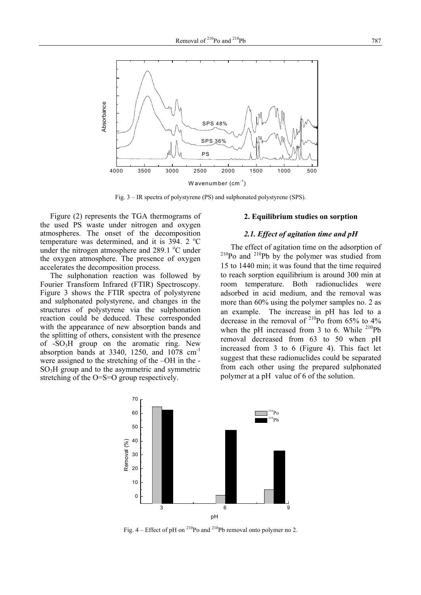

Fig. 3 – IR spectra of polystyrene (PS) and sulphonated polystyrene (SPS).

Figure (2) represents the TGA thermograms of the used PS waste under nitrogen and oxygen atmospheres. The onset of the decomposition temperature was determined, and it is  $394.2 \text{ °C}$ under the nitrogen atmosphere and 289.1 °C under the oxygen atmosphere. The presence of oxygen accelerates the decomposition process.

The sulphonation reaction was followed by Fourier Transform Infrared (FTIR) Spectroscopy. Figure 3 shows the FTIR spectra of polystyrene and sulphonated polystyrene, and changes in the structures of polystyrene via the sulphonation reaction could be deduced. These corresponded with the appearance of new absorption bands and the splitting of others, consistent with the presence of  $-SO<sub>3</sub>H$  group on the aromatic ring. New absorption bands at 3340, 1250, and  $1078$   $cm^{-1}$ were assigned to the stretching of the –OH in the - SO3H group and to the asymmetric and symmetric stretching of the O=S=O group respectively.

#### **2. Equilibrium studies on sorption**

## *2.1. Effect of agitation time and pH*

The effect of agitation time on the adsorption of  $210P<sub>Po</sub>$  and  $210P<sub>Po</sub>$  by the polymer was studied from 15 to 1440 min; it was found that the time required to reach sorption equilibrium is around 300 min at room temperature. Both radionuclides were adsorbed in acid medium, and the removal was more than 60% using the polymer samples no. 2 as an example. The increase in pH has led to a decrease in the removal of  $^{210}$ Po from 65% to 4% when the pH increased from 3 to 6. While  $^{210}Pb$ removal decreased from 63 to 50 when pH increased from 3 to 6 (Figure 4). This fact let suggest that these radionuclides could be separated from each other using the prepared sulphonated polymer at a pH value of 6 of the solution.



Fig.  $4$  – Effect of pH on <sup>210</sup>Po and <sup>210</sup>Pb removal onto polymer no 2.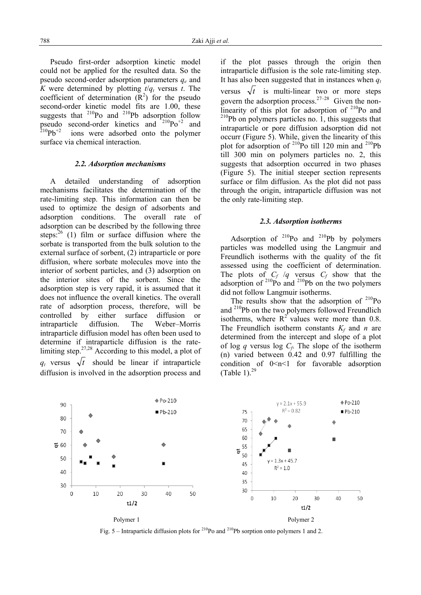Pseudo first-order adsorption kinetic model could not be applied for the resulted data. So the pseudo second-order adsorption parameters *qe* and *K* were determined by plotting  $t/q_t$  versus *t*. The coefficient of determination  $(R^2)$  for the pseudo second-order kinetic model fits are 1.00, these suggests that  $^{210}Po$  and  $^{210}Pb$  adsorption follow pseudo second-order kinetics and  $2^{10}Po^{+2}$  and  $^{210}Pb^{+2}$  ions were adsorbed onto the polymer surface via chemical interaction.

#### *2.2. Adsorption mechanisms*

A detailed understanding of adsorption mechanisms facilitates the determination of the rate-limiting step. This information can then be used to optimize the design of adsorbents and adsorption conditions. The overall rate of adsorption can be described by the following three steps: $^{26}$  (1) film or surface diffusion where the sorbate is transported from the bulk solution to the external surface of sorbent, (2) intraparticle or pore diffusion, where sorbate molecules move into the interior of sorbent particles, and (3) adsorption on the interior sites of the sorbent. Since the adsorption step is very rapid, it is assumed that it does not influence the overall kinetics. The overall rate of adsorption process, therefore, will be controlled by either surface diffusion or intraparticle diffusion. The Weber–Morris intraparticle diffusion model has often been used to determine if intraparticle diffusion is the ratelimiting step. $27,28$  According to this model, a plot of  $q_t$  versus  $\sqrt{t}$  should be linear if intraparticle diffusion is involved in the adsorption process and if the plot passes through the origin then intraparticle diffusion is the sole rate-limiting step. It has also been suggested that in instances when  $q_t$ versus  $\sqrt{t}$  is multi-linear two or more steps govern the adsorption process.<sup>27–28</sup> Given the nonlinearity of this plot for adsorption of  $2^{10}$ Po and  $210$ Pb on polymers particles no. 1, this suggests that intraparticle or pore diffusion adsorption did not occurr (Figure 5). While, given the linearity of this plot for adsorption of  $^{210}$ Po till 120 min and  $^{210}$ Pb till 300 min on polymers particles no. 2, this suggests that adsorption occurred in two phases (Figure 5). The initial steeper section represents surface or film diffusion. As the plot did not pass through the origin, intraparticle diffusion was not the only rate-limiting step.

## *2.3. Adsorption isotherms*

Adsorption of  $^{210}Po$  and  $^{210}Pb$  by polymers particles was modelled using the Langmuir and Freundlich isotherms with the quality of the fit assessed using the coefficient of determination. The plots of  $C_f / q$  versus  $C_f$  show that the adsorption of  $^{210}$ Po and  $^{210}$ Pb on the two polymers did not follow Langmuir isotherms.

The results show that the adsorption of  $^{210}Po$ and 210Pb on the two polymers followed Freundlich isotherms, where  $R^2$  values were more than 0.8. The Freundlich isotherm constants  $K_f$  and *n* are determined from the intercept and slope of a plot of log *q* versus log  $C_f$ . The slope of the isotherm (n) varied between 0.42 and 0.97 fulfilling the condition of  $0 \le n \le 1$  for favorable adsorption (Table 1). $^{29}$ 



Fig. 5 – Intraparticle diffusion plots for <sup>210</sup>Po and <sup>210</sup>Pb sorption onto polymers 1 and 2.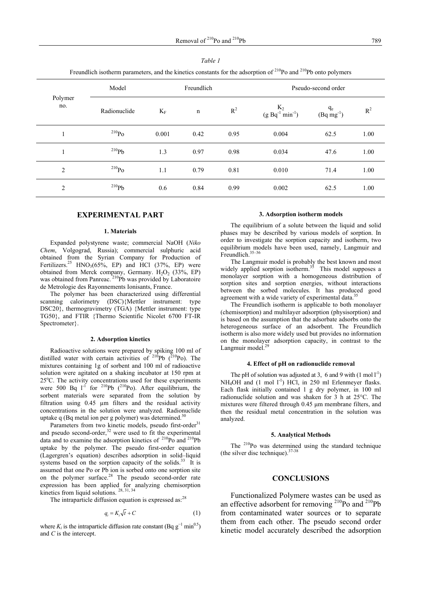| Freundlich isotherm parameters, and the kinetics constants for the adsorption of $^{210}$ Po and $^{210}$ Pb onto polymers |              |            |             |       |                                                  |                                 |       |
|----------------------------------------------------------------------------------------------------------------------------|--------------|------------|-------------|-------|--------------------------------------------------|---------------------------------|-------|
|                                                                                                                            | Model        | Freundlich |             |       | Pseudo-second order                              |                                 |       |
| Polymer<br>no.                                                                                                             | Radionuclide | $K_F$      | $\mathbf n$ | $R^2$ | $K_2$<br>(g Bq <sup>-1</sup> min <sup>-1</sup> ) | $q_e$<br>(Bq mg <sup>-1</sup> ) | $R^2$ |
|                                                                                                                            | $^{210}Po$   | 0.001      | 0.42        | 0.95  | 0.004                                            | 62.5                            | 1.00  |
|                                                                                                                            | $^{210}Pb$   | 1.3        | 0.97        | 0.98  | 0.034                                            | 47.6                            | 1.00  |
| 2                                                                                                                          | $^{210}Po$   | 1.1        | 0.79        | 0.81  | 0.010                                            | 71.4                            | 1.00  |
| 2                                                                                                                          | $^{210}Pb$   | 0.6        | 0.84        | 0.99  | 0.002                                            | 62.5                            | 1.00  |

*Table 1*

#### **EXPERIMENTAL PART**

#### **1. Materials**

Expanded polystyrene waste; commercial NaOH (*Niko Chem*, Volgograd, Russia); commercial sulphuric acid obtained from the Syrian Company for Production of Fertilizers.<sup>25</sup> HNO<sub>3</sub>(65%, EP) and HCl (37%, EP) were obtained from Merck company, Germany.  $H_2O_2$  (33%, EP) was obtained from Panreac.<sup>210</sup>Pb was provided by Laboratoire de Metrologie des Rayonnements Ionisants, France.

The polymer has been characterized using differential scanning calorimetry (DSC){Mettler instrument: type DSC20}, thermogravimetry (TGA) {Mettler instrument: type TG50}, and FTIR {Thermo Scientific Nicolet 6700 FT-IR Spectrometer ?.

#### **2. Adsorption kinetics**

Radioactive solutions were prepared by spiking 100 ml of distilled water with certain activities of  $^{210}Pb$  ( $^{210}Po$ ). The mixtures containing 1g of sorbent and 100 ml of radioactive solution were agitated on a shaking incubator at 150 rpm at 25°C. The activity concentrations used for these experiments were 500 Bq  $1^1$  for <sup>210</sup>Pb (<sup>210</sup>Po). After equilibrium, the sorbent materials were separated from the solution by filtration using 0.45 µm filters and the residual activity concentrations in the solution were analyzed. Radionuclide uptake q (Bq metal ion per g polymer) was determined. $\frac{3}{2}$ 

Parameters from two kinetic models, pseudo first-order<sup>31</sup> and pseudo second-order, $32$  were used to fit the experimental data and to examine the adsorption kinetics of  $^{210}$ Po and  $^{210}$ Pb uptake by the polymer. The pseudo first-order equation (Lagergren's equation) describes adsorption in solid–liquid systems based on the sorption capacity of the solids.<sup>33</sup> It is assumed that one Po or Pb ion is sorbed onto one sorption site on the polymer surface. $28$  The pseudo second-order rate expression has been applied for analyzing chemisorption kinetics from liquid solutions.  $28, 31, 34$ 

The intraparticle diffusion equation is expressed as:<sup>28</sup>

$$
q_i = K_i \sqrt{t} + C \tag{1}
$$

where  $K_i$  is the intraparticle diffusion rate constant (Bq  $g^{-1}$  min<sup>0.5</sup>) and *C* is the intercept.

#### **3. Adsorption isotherm models**

The equilibrium of a solute between the liquid and solid phases may be described by various models of sorption. In order to investigate the sorption capacity and isotherm, two equilibrium models have been used, namely, Langmuir and Freundlich. $35-36$ 

The Langmuir model is probably the best known and most widely applied sorption isotherm.<sup>35</sup> This model supposes a monolayer sorption with a homogeneous distribution of sorption sites and sorption energies, without interactions between the sorbed molecules. It has produced good agreement with a wide variety of experimental data.<sup>3</sup>

The Freundlich isotherm is applicable to both monolayer (chemisorption) and multilayer adsorption (physisorption) and is based on the assumption that the adsorbate adsorbs onto the heterogeneous surface of an adsorbent. The Freundlich isotherm is also more widely used but provides no information on the monolayer adsorption capacity, in contrast to the Langmuir model.<sup>29</sup>

#### **4. Effect of pH on radionuclide removal**

The pH of solution was adjusted at 3, 6 and 9 with  $(1 \text{ mol } 1^{-1})$  $NH<sub>4</sub>OH$  and (1 mol  $1^{-1}$ ) HCl, in 250 ml Erlenmeyer flasks. Each flask initially contained 1 g dry polymer, in 100 ml radionuclide solution and was shaken for 3 h at 25°C. The mixtures were filtered through 0.45 μm membrane filters, and then the residual metal concentration in the solution was analyzed.

#### **5. Analytical Methods**

The <sup>210</sup>Po was determined using the standard technique (the silver disc technique).  $37-3$ 

#### **CONCLUSIONS**

Functionalized Polymere wastes can be used as an effective adsorbent for removing  $^{210}$ Po and  $^{210}$ Pb from contaminated water sources or to separate them from each other. The pseudo second order kinetic model accurately described the adsorption